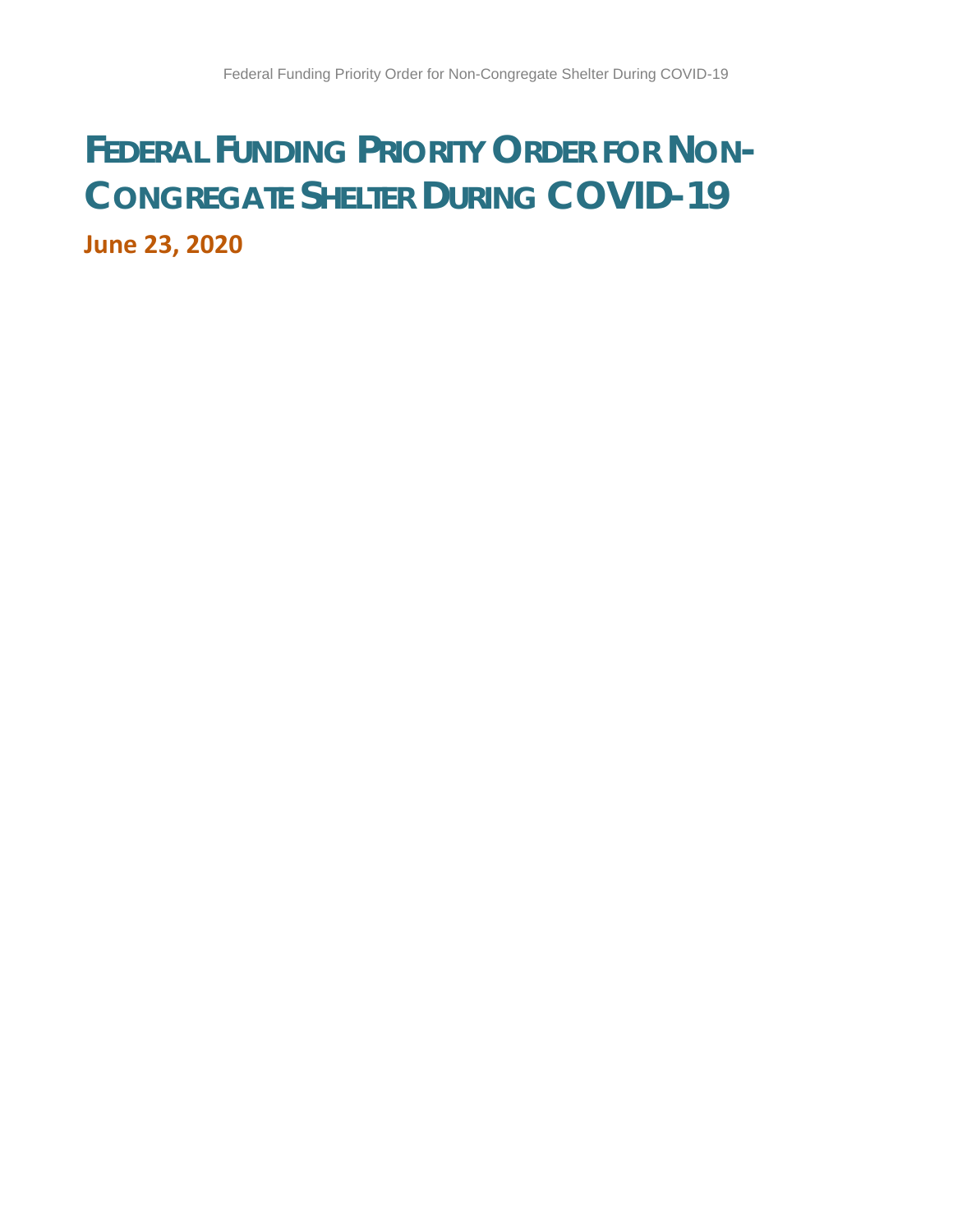# **FEDERAL FUNDING PRIORITY ORDER FOR NON-CONGREGATE SHELTER DURING COVID-19 June 23, 2020**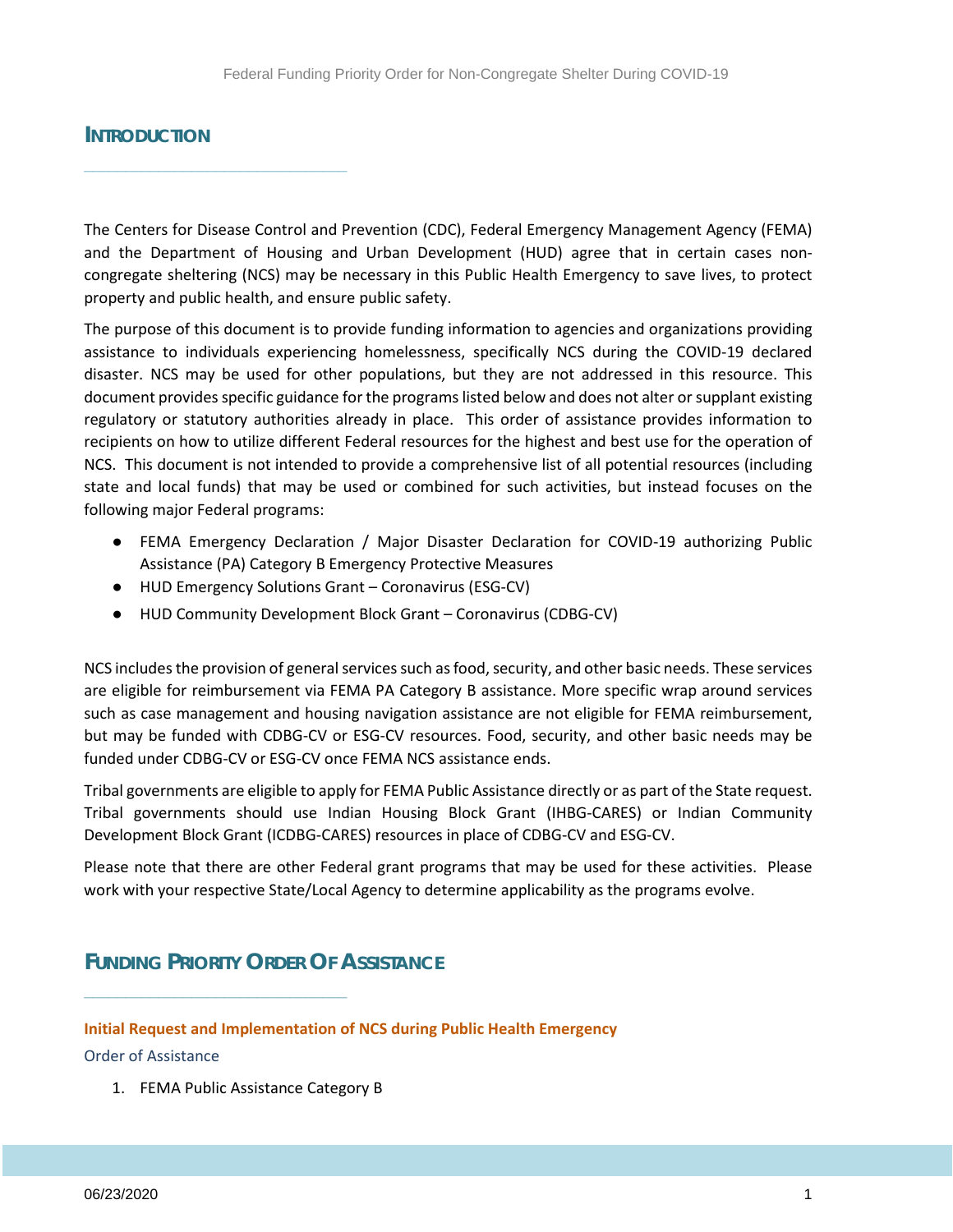## **INTRODUCTION**

**\_\_\_\_\_\_\_\_\_\_\_\_\_\_\_\_\_\_\_\_\_\_\_\_\_\_\_\_\_\_\_\_**

The Centers for Disease Control and Prevention (CDC), Federal Emergency Management Agency (FEMA) and the Department of Housing and Urban Development (HUD) agree that in certain cases noncongregate sheltering (NCS) may be necessary in this Public Health Emergency to save lives, to protect property and public health, and ensure public safety.

The purpose of this document is to provide funding information to agencies and organizations providing assistance to individuals experiencing homelessness, specifically NCS during the COVID-19 declared disaster. NCS may be used for other populations, but they are not addressed in this resource. This document provides specific guidance for the programs listed below and does not alter or supplant existing regulatory or statutory authorities already in place. This order of assistance provides information to recipients on how to utilize different Federal resources for the highest and best use for the operation of NCS. This document is not intended to provide a comprehensive list of all potential resources (including state and local funds) that may be used or combined for such activities, but instead focuses on the following major Federal programs:

- FEMA Emergency Declaration / Major Disaster Declaration for COVID-19 authorizing Public Assistance (PA) Category B Emergency Protective Measures
- HUD Emergency Solutions Grant Coronavirus (ESG-CV)
- HUD Community Development Block Grant Coronavirus (CDBG-CV)

NCS includes the provision of general services such as food, security, and other basic needs. These services are eligible for reimbursement via FEMA PA Category B assistance. More specific wrap around services such as case management and housing navigation assistance are not eligible for FEMA reimbursement, but may be funded with CDBG-CV or ESG-CV resources. Food, security, and other basic needs may be funded under CDBG-CV or ESG-CV once FEMA NCS assistance ends.

Tribal governments are eligible to apply for FEMA Public Assistance directly or as part of the State request. Tribal governments should use Indian Housing Block Grant (IHBG-CARES) or Indian Community Development Block Grant (ICDBG-CARES) resources in place of CDBG-CV and ESG-CV.

Please note that there are other Federal grant programs that may be used for these activities. Please work with your respective State/Local Agency to determine applicability as the programs evolve.

# **FUNDING PRIORITY ORDER OF ASSISTANCE**

**\_\_\_\_\_\_\_\_\_\_\_\_\_\_\_\_\_\_\_\_\_\_\_\_\_\_\_\_\_\_\_\_**

**Initial Request and Implementation of NCS during Public Health Emergency**

Order of Assistance

1. FEMA Public Assistance Category B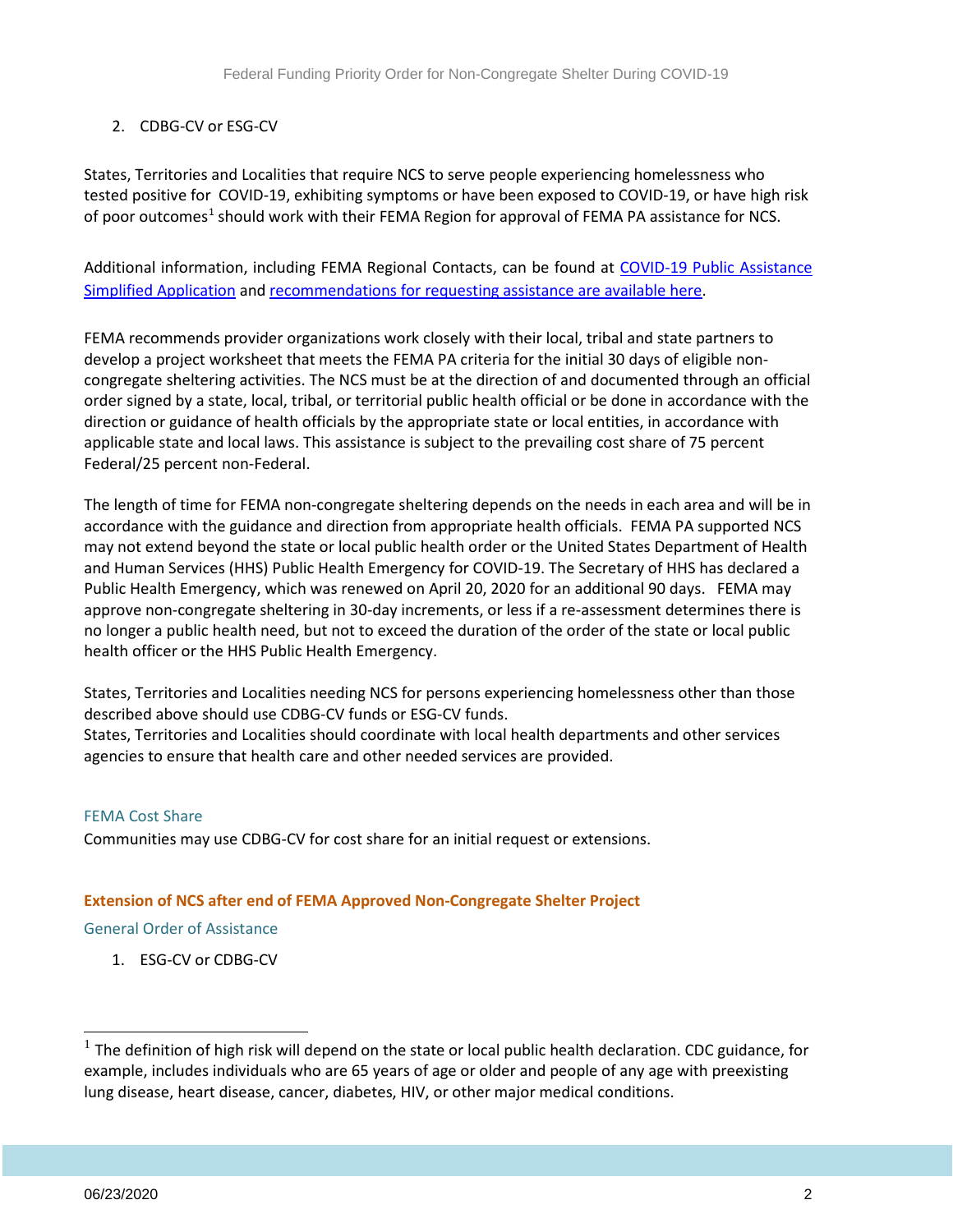### 2. CDBG-CV or ESG-CV

States, Territories and Localities that require NCS to serve people experiencing homelessness who tested positive for COVID-19, exhibiting symptoms or have been exposed to COVID-19, or have high risk of poor outcomes<sup>[1](#page-2-0)</sup> should work with their FEMA Region for approval of FEMA PA assistance for NCS.

Additional information, including FEMA Regional Contacts, can be found at COVID-19 Public Assistance [Simplified Application](https://www.fema.gov/news-release/2020/03/23/coronavirus-covid-19-pandemic-public-assistance-simplified-application) and [recommendations for requesting assistance are available here.](https://files.hudexchange.info/public/resources/documents/COVID-19-Non-Congregate-Sheltering-Recommendations-for-Requests-for-Assistance.pdf)

FEMA recommends provider organizations work closely with their local, tribal and state partners to develop a project worksheet that meets the FEMA PA criteria for the initial 30 days of eligible noncongregate sheltering activities. The NCS must be at the direction of and documented through an official order signed by a state, local, tribal, or territorial public health official or be done in accordance with the direction or guidance of health officials by the appropriate state or local entities, in accordance with applicable state and local laws. This assistance is subject to the prevailing cost share of 75 percent Federal/25 percent non-Federal.

The length of time for FEMA non-congregate sheltering depends on the needs in each area and will be in accordance with the guidance and direction from appropriate health officials. FEMA PA supported NCS may not extend beyond the state or local public health order or the United States Department of Health and Human Services (HHS) Public Health Emergency for COVID-19. The Secretary of HHS has declared a Public Health Emergency, which was renewed on April 20, 2020 for an additional 90 days. FEMA may approve non-congregate sheltering in 30-day increments, or less if a re-assessment determines there is no longer a public health need, but not to exceed the duration of the order of the state or local public health officer or the HHS Public Health Emergency.

States, Territories and Localities needing NCS for persons experiencing homelessness other than those described above should use CDBG-CV funds or ESG-CV funds.

States, Territories and Localities should coordinate with local health departments and other services agencies to ensure that health care and other needed services are provided.

#### FEMA Cost Share

Communities may use CDBG-CV for cost share for an initial request or extensions.

#### **Extension of NCS after end of FEMA Approved Non-Congregate Shelter Project**

General Order of Assistance

1. ESG-CV or CDBG-CV

1

<span id="page-2-0"></span> $<sup>1</sup>$  The definition of high risk will depend on the state or local public health declaration. CDC guidance, for</sup> example, includes individuals who are 65 years of age or older and people of any age with preexisting lung disease, heart disease, cancer, diabetes, HIV, or other major medical conditions.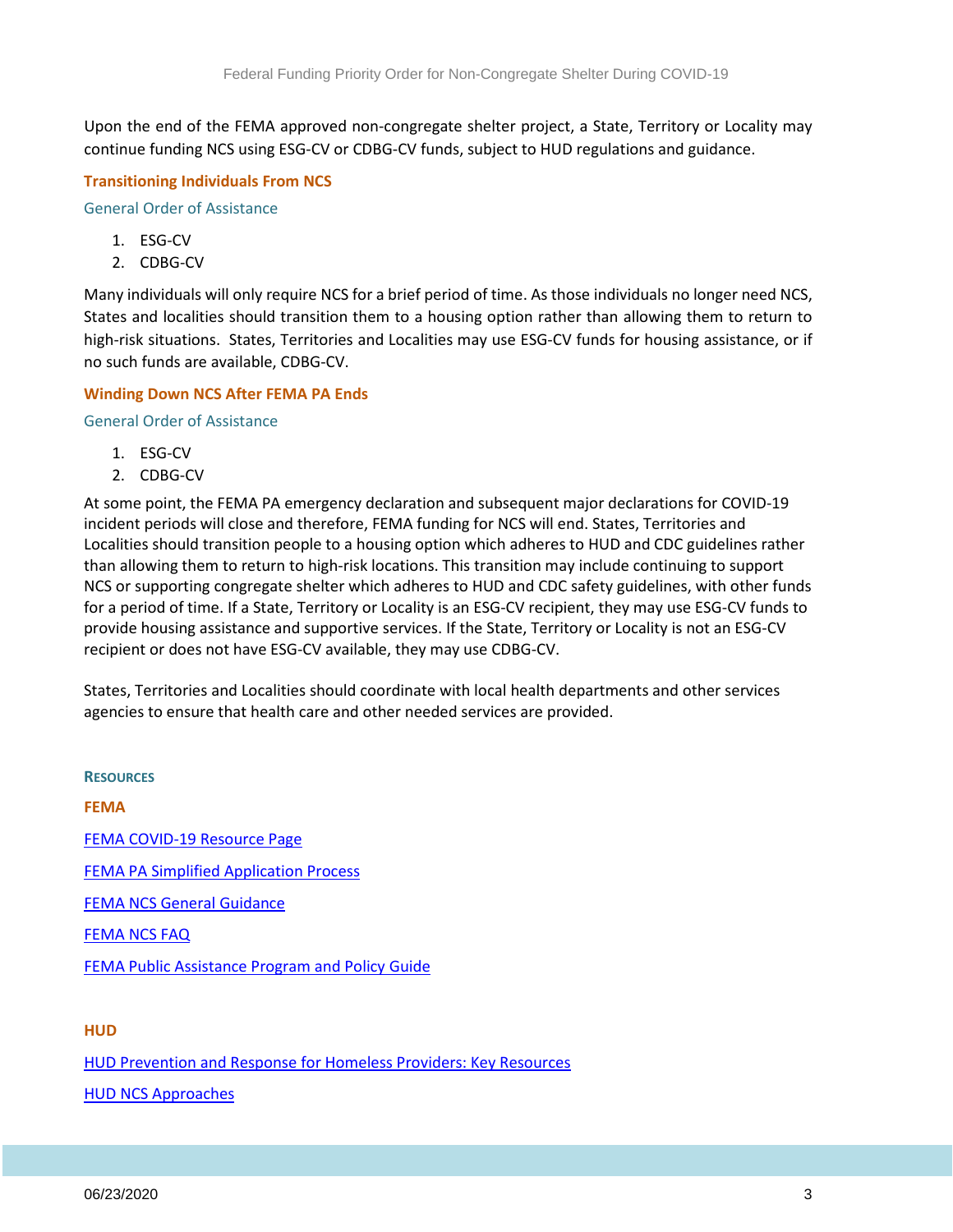Upon the end of the FEMA approved non-congregate shelter project, a State, Territory or Locality may continue funding NCS using ESG-CV or CDBG-CV funds, subject to HUD regulations and guidance.

#### **Transitioning Individuals From NCS**

General Order of Assistance

- 1. ESG-CV
- 2. CDBG-CV

Many individuals will only require NCS for a brief period of time. As those individuals no longer need NCS, States and localities should transition them to a housing option rather than allowing them to return to high-risk situations. States, Territories and Localities may use ESG-CV funds for housing assistance, or if no such funds are available, CDBG-CV.

#### **Winding Down NCS After FEMA PA Ends**

General Order of Assistance

- 1. ESG-CV
- 2. CDBG-CV

At some point, the FEMA PA emergency declaration and subsequent major declarations for COVID-19 incident periods will close and therefore, FEMA funding for NCS will end. States, Territories and Localities should transition people to a housing option which adheres to HUD and CDC guidelines rather than allowing them to return to high-risk locations. This transition may include continuing to support NCS or supporting congregate shelter which adheres to HUD and CDC safety guidelines, with other funds for a period of time. If a State, Territory or Locality is an ESG-CV recipient, they may use ESG-CV funds to provide housing assistance and supportive services. If the State, Territory or Locality is not an ESG-CV recipient or does not have ESG-CV available, they may use CDBG-CV.

States, Territories and Localities should coordinate with local health departments and other services agencies to ensure that health care and other needed services are provided.

**RESOURCES FEMA** [FEMA COVID-19 Resource Page](https://www.fema.gov/coronavirus) [FEMA PA Simplified Application Process](https://www.fema.gov/news-release/2020/03/23/coronavirus-covid-19-pandemic-public-assistance-simplified-application) [FEMA NCS General Guidance](https://www.fema.gov/news-release/2020/03/19/coronavirus-covid-19-pandemic-eligible-emergency-protective-measures) [FEMA NCS FAQ](https://www.fema.gov/news-release/2020/03/31/coronavirus-covid-19-pandemic-non-congregate-sheltering) [FEMA Public Assistance Program and Policy Guide](https://www.fema.gov/media-library-data/1525468328389-4a038bbef9081cd7dfe7538e7751aa9c/PAPPG_3.1_508_FINAL_5-4-2018.pdf)

#### **HUD**

[HUD Prevention and Response for Homeless Providers: Key Resources](https://www.hudexchange.info/homelessness-assistance/diseases/#covid-19-key-resources) [HUD NCS Approaches](https://files.hudexchange.info/resources/documents/Non-Congregate-Approaches-to-Sheltering-for-COVID-19-Homeless-Response.pdf)